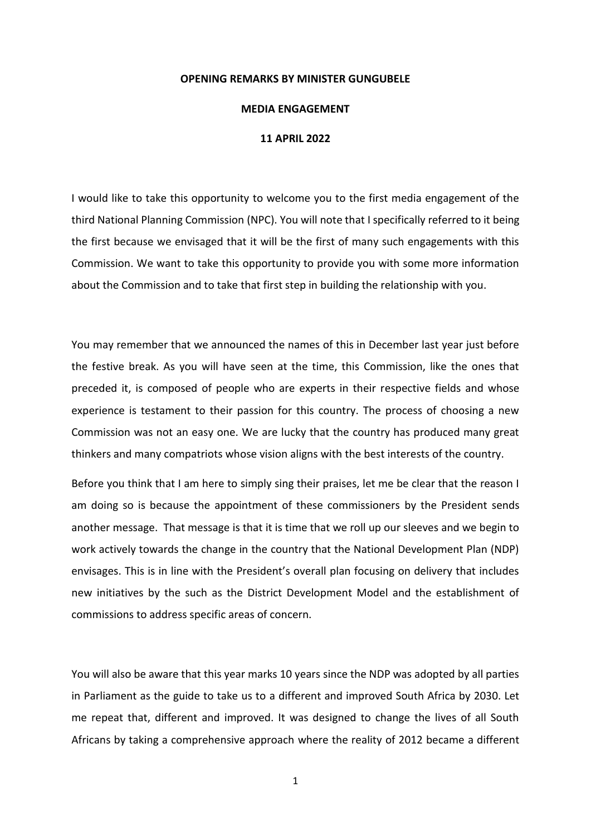## **OPENING REMARKS BY MINISTER GUNGUBELE**

## **MEDIA ENGAGEMENT**

## **11 APRIL 2022**

I would like to take this opportunity to welcome you to the first media engagement of the third National Planning Commission (NPC). You will note that I specifically referred to it being the first because we envisaged that it will be the first of many such engagements with this Commission. We want to take this opportunity to provide you with some more information about the Commission and to take that first step in building the relationship with you.

You may remember that we announced the names of this in December last year just before the festive break. As you will have seen at the time, this Commission, like the ones that preceded it, is composed of people who are experts in their respective fields and whose experience is testament to their passion for this country. The process of choosing a new Commission was not an easy one. We are lucky that the country has produced many great thinkers and many compatriots whose vision aligns with the best interests of the country.

Before you think that I am here to simply sing their praises, let me be clear that the reason I am doing so is because the appointment of these commissioners by the President sends another message. That message is that it is time that we roll up our sleeves and we begin to work actively towards the change in the country that the National Development Plan (NDP) envisages. This is in line with the President's overall plan focusing on delivery that includes new initiatives by the such as the District Development Model and the establishment of commissions to address specific areas of concern.

You will also be aware that this year marks 10 years since the NDP was adopted by all parties in Parliament as the guide to take us to a different and improved South Africa by 2030. Let me repeat that, different and improved. It was designed to change the lives of all South Africans by taking a comprehensive approach where the reality of 2012 became a different

1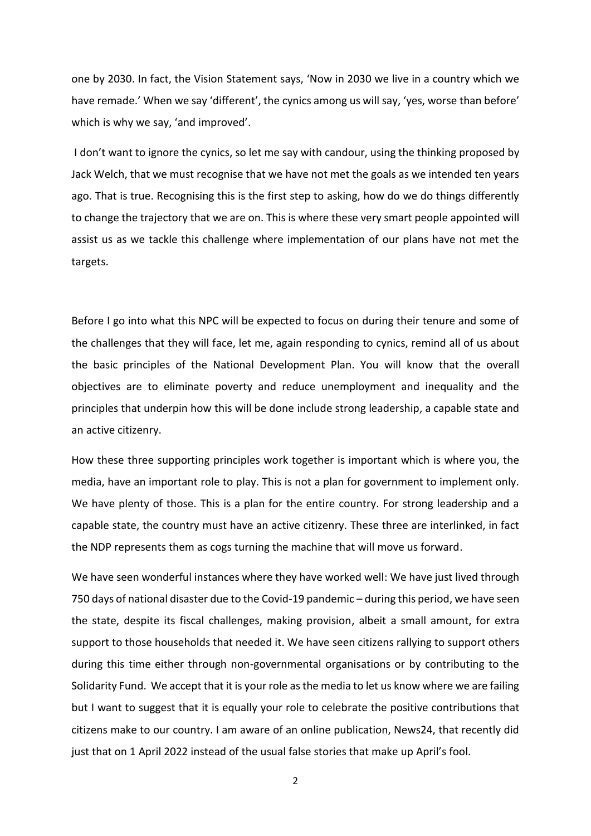one by 2030. In fact, the Vision Statement says, 'Now in 2030 we live in a country which we have remade.' When we say 'different', the cynics among us will say, 'yes, worse than before' which is why we say, 'and improved'.

I don't want to ignore the cynics, so let me say with candour, using the thinking proposed by Jack Welch, that we must recognise that we have not met the goals as we intended ten years ago. That is true. Recognising this is the first step to asking, how do we do things differently to change the trajectory that we are on. This is where these very smart people appointed will assist us as we tackle this challenge where implementation of our plans have not met the targets.

Before I go into what this NPC will be expected to focus on during their tenure and some of the challenges that they will face, let me, again responding to cynics, remind all of us about the basic principles of the National Development Plan. You will know that the overall objectives are to eliminate poverty and reduce unemployment and inequality and the principles that underpin how this will be done include strong leadership, a capable state and an active citizenry.

How these three supporting principles work together is important which is where you, the media, have an important role to play. This is not a plan for government to implement only. We have plenty of those. This is a plan for the entire country. For strong leadership and a capable state, the country must have an active citizenry. These three are interlinked, in fact the NDP represents them as cogs turning the machine that will move us forward.

We have seen wonderful instances where they have worked well: We have just lived through 750 days of national disaster due to the Covid-19 pandemic – during this period, we have seen the state, despite its fiscal challenges, making provision, albeit a small amount, for extra support to those households that needed it. We have seen citizens rallying to support others during this time either through non-governmental organisations or by contributing to the Solidarity Fund. We accept that it is your role as the media to let us know where we are failing but I want to suggest that it is equally your role to celebrate the positive contributions that citizens make to our country. I am aware of an online publication, News24, that recently did just that on 1 April 2022 instead of the usual false stories that make up April's fool.

2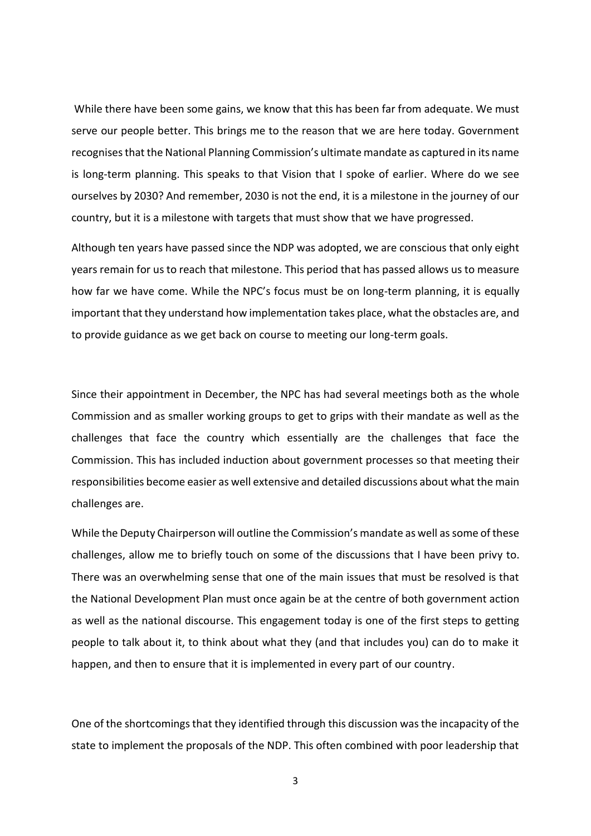While there have been some gains, we know that this has been far from adequate. We must serve our people better. This brings me to the reason that we are here today. Government recognises that the National Planning Commission's ultimate mandate as captured in its name is long-term planning. This speaks to that Vision that I spoke of earlier. Where do we see ourselves by 2030? And remember, 2030 is not the end, it is a milestone in the journey of our country, but it is a milestone with targets that must show that we have progressed.

Although ten years have passed since the NDP was adopted, we are conscious that only eight years remain for us to reach that milestone. This period that has passed allows us to measure how far we have come. While the NPC's focus must be on long-term planning, it is equally important that they understand how implementation takes place, what the obstacles are, and to provide guidance as we get back on course to meeting our long-term goals.

Since their appointment in December, the NPC has had several meetings both as the whole Commission and as smaller working groups to get to grips with their mandate as well as the challenges that face the country which essentially are the challenges that face the Commission. This has included induction about government processes so that meeting their responsibilities become easier as well extensive and detailed discussions about what the main challenges are.

While the Deputy Chairperson will outline the Commission's mandate as well as some of these challenges, allow me to briefly touch on some of the discussions that I have been privy to. There was an overwhelming sense that one of the main issues that must be resolved is that the National Development Plan must once again be at the centre of both government action as well as the national discourse. This engagement today is one of the first steps to getting people to talk about it, to think about what they (and that includes you) can do to make it happen, and then to ensure that it is implemented in every part of our country.

One of the shortcomings that they identified through this discussion was the incapacity of the state to implement the proposals of the NDP. This often combined with poor leadership that

3